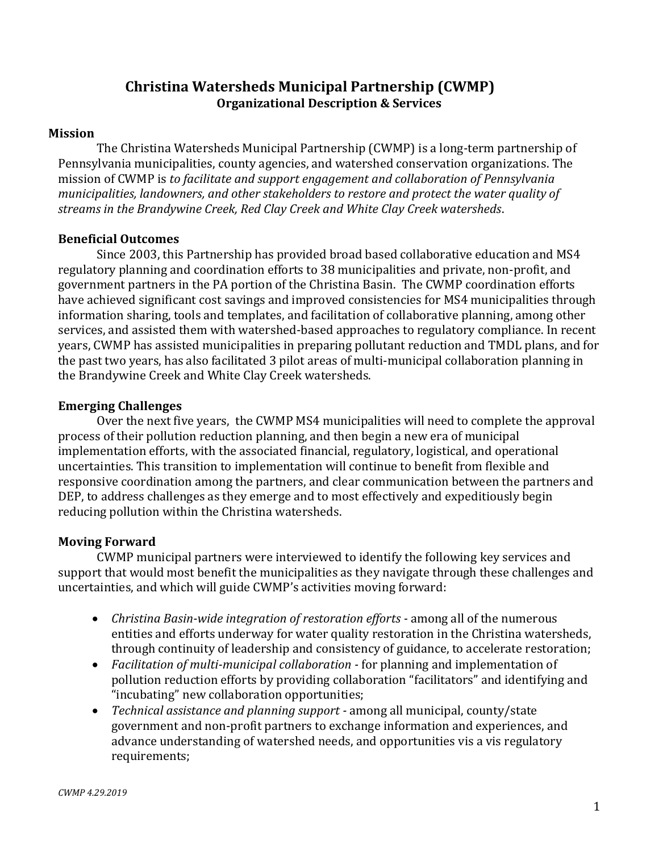# **Christina Watersheds Municipal Partnership (CWMP) Organizational Description & Services**

#### **Mission**

The Christina Watersheds Municipal Partnership (CWMP) is a long-term partnership of Pennsylvania municipalities, county agencies, and watershed conservation organizations. The mission of CWMP is *to facilitate and support engagement and collaboration of Pennsylvania municipalities, landowners, and other stakeholders to restore and protect the water quality of streams in the Brandywine Creek, Red Clay Creek and White Clay Creek watersheds*.

#### **Beneficial Outcomes**

Since 2003, this Partnership has provided broad based collaborative education and MS4 regulatory planning and coordination efforts to 38 municipalities and private, non-profit, and government partners in the PA portion of the Christina Basin. The CWMP coordination efforts have achieved significant cost savings and improved consistencies for MS4 municipalities through information sharing, tools and templates, and facilitation of collaborative planning, among other services, and assisted them with watershed-based approaches to regulatory compliance. In recent years, CWMP has assisted municipalities in preparing pollutant reduction and TMDL plans, and for the past two years, has also facilitated 3 pilot areas of multi-municipal collaboration planning in the Brandywine Creek and White Clay Creek watersheds.

## **Emerging Challenges**

Over the next five years, the CWMP MS4 municipalities will need to complete the approval process of their pollution reduction planning, and then begin a new era of municipal implementation efforts, with the associated financial, regulatory, logistical, and operational uncertainties. This transition to implementation will continue to benefit from flexible and responsive coordination among the partners, and clear communication between the partners and DEP, to address challenges as they emerge and to most effectively and expeditiously begin reducing pollution within the Christina watersheds.

## **Moving Forward**

CWMP municipal partners were interviewed to identify the following key services and support that would most benefit the municipalities as they navigate through these challenges and uncertainties, and which will guide CWMP's activities moving forward:

- *Christina Basin-wide integration of restoration efforts -* among all of the numerous entities and efforts underway for water quality restoration in the Christina watersheds, through continuity of leadership and consistency of guidance, to accelerate restoration;
- *Facilitation of multi-municipal collaboration -* for planning and implementation of pollution reduction efforts by providing collaboration "facilitators" and identifying and "incubating" new collaboration opportunities;
- *Technical assistance and planning support -* among all municipal, county/state government and non-profit partners to exchange information and experiences, and advance understanding of watershed needs, and opportunities vis a vis regulatory requirements;